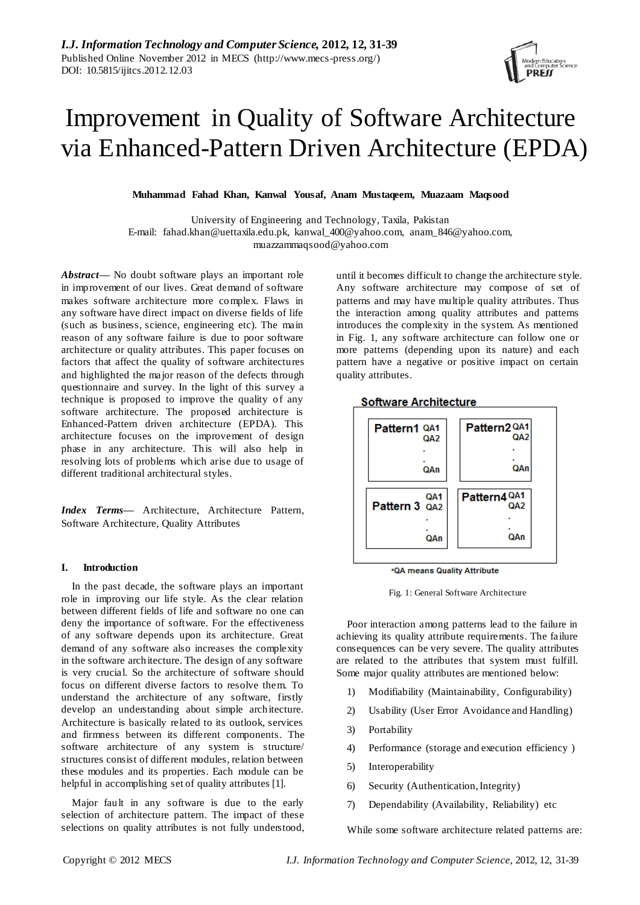

# Improvement in Quality of Software Architecture via Enhanced-Pattern Driven Architecture (EPDA)

**Muhammad Fahad Khan, Kanwal Yousaf, Anam Mustaqeem, Muazaam Maqsood**

University of Engineering and Technology, Taxila, Pakistan E-mail: fahad.khan@uettaxila.edu.pk, kanwal\_400@yahoo.com, anam\_846@yahoo.com, muazzammaqsood@yahoo.com

*Abstract***—** No doubt software plays an important role in improvement of our lives. Great demand of software makes software architecture more complex. Flaws in any software have direct impact on diverse fields of life (such as business, science, engineering etc). The main reason of any software failure is due to poor software architecture or quality attributes. This paper focuses on factors that affect the quality of software architectures and highlighted the major reason of the defects through questionnaire and survey. In the light of this survey a technique is proposed to improve the quality of any software architecture. The proposed architecture is Enhanced-Pattern driven architecture (EPDA). This architecture focuses on the improvement of design phase in any architecture. This will also help in resolving lots of problems which arise due to usage of different traditional architectural styles.

*Index Terms***—** Architecture, Architecture Pattern, Software Architecture, Quality Attributes

## **I. Introduction**

In the past decade, the software plays an important role in improving our life style. As the clear relation between different fields of life and software no one can deny the importance of software. For the effectiveness of any software depends upon its architecture. Great demand of any software also increases the complexity in the software architecture. The design of any software is very crucial. So the architecture of software should focus on different diverse factors to resolve them. To understand the architecture of any software, firstly develop an understanding about simple architecture. Architecture is basically related to its outlook, services and firmness between its different components. The software architecture of any system is structure/ structures consist of different modules, relation between these modules and its properties. Each module can be helpful in accomplishing set of quality attributes [1].

Major fault in any software is due to the early selection of architecture pattern. The impact of these selections on quality attributes is not fully understood,

until it becomes difficult to change the architecture style. Any software architecture may compose of set of patterns and may have multiple quality attributes. Thus the interaction among quality attributes and patterns introduces the complexity in the system. As mentioned in Fig. 1, any software architecture can follow one or more patterns (depending upon its nature) and each pattern have a negative or positive impact on certain quality attributes.



\*QA means Quality Attribute

Fig. 1: General Software Architecture

Poor interaction among patterns lead to the failure in achieving its quality attribute requirements. The failure consequences can be very severe. The quality attributes are related to the attributes that system must fulfill. Some major quality attributes are mentioned below:

- 1) Modifiability (Maintainability, Configurability)
- 2) Usability (User Error Avoidance and Handling)
- 3) Portability
- 4) Performance (storage and execution efficiency )
- 5) Interoperability
- 6) Security (Authentication, Integrity)
- 7) Dependability (Availability, Reliability) etc

While some software architecture related patterns are: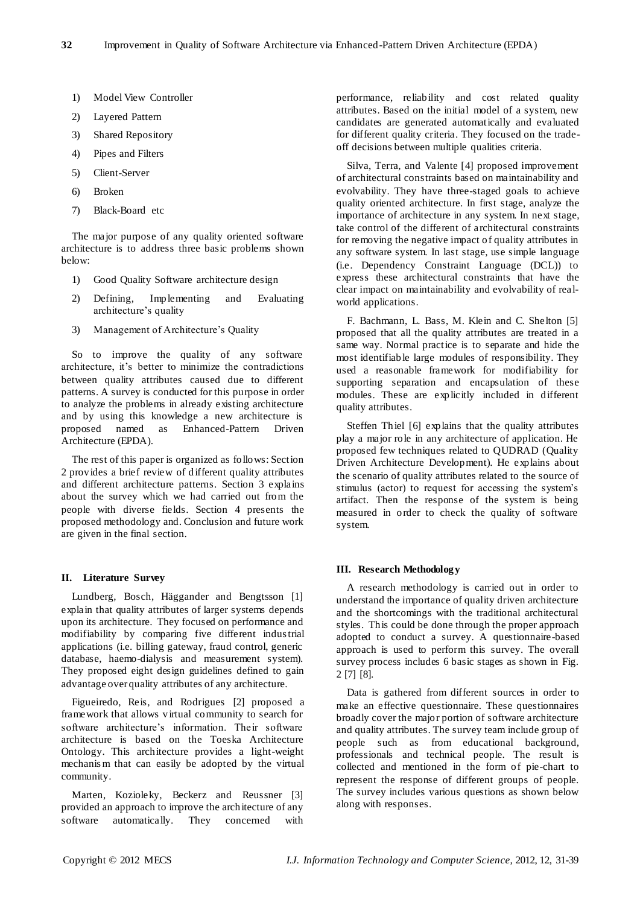- 1) Model View Controller
- 2) Layered Pattern
- 3) Shared Repository
- 4) Pipes and Filters
- 5) Client-Server
- 6) Broken
- 7) Black-Board etc

The major purpose of any quality oriented software architecture is to address three basic problems shown below:

- 1) Good Quality Software architecture design
- 2) Defining, Implementing and Evaluating architecture's quality
- 3) Management of Architecture's Quality

So to improve the quality of any software architecture, it's better to minimize the contradictions between quality attributes caused due to different patterns. A survey is conducted for this purpose in order to analyze the problems in already existing architecture and by using this knowledge a new architecture is proposed named as Enhanced-Pattern Driven Architecture (EPDA).

The rest of this paper is organized as follows: Section 2 provides a brief review of different quality attributes and different architecture patterns. Section 3 explains about the survey which we had carried out from the people with diverse fields. Section 4 presents the proposed methodology and. Conclusion and future work are given in the final section.

#### **II. Literature Survey**

Lundberg, Bosch, Häggander and Bengtsson [1] explain that quality attributes of larger systems depends upon its architecture. They focused on performance and modifiability by comparing five different industrial applications (i.e. billing gateway, fraud control, generic database, haemo-dialysis and measurement system). They proposed eight design guidelines defined to gain advantage over quality attributes of any architecture.

Figueiredo, Reis, and Rodrigues [2] proposed a framework that allows virtual community to search for software architecture's information. Their software architecture is based on the Toeska Architecture Ontology. This architecture provides a light-weight mechanis m that can easily be adopted by the virtual community.

Marten, Kozioleky, Beckerz and Reussner [3] provided an approach to improve the architecture of any software automatically. They concerned with performance, reliability and cost related quality attributes. Based on the initial model of a system, new candidates are generated automatically and evaluated for different quality criteria. They focused on the tradeoff decisions between multiple qualities criteria.

Silva, Terra, and Valente [4] proposed improvement of architectural constraints based on maintainability and evolvability. They have three-staged goals to achieve quality oriented architecture. In first stage, analyze the importance of architecture in any system. In next stage, take control of the different of architectural constraints for removing the negative impact of quality attributes in any software system. In last stage, use simple language (i.e. Dependency Constraint Language (DCL)) to express these architectural constraints that have the clear impact on maintainability and evolvability of realworld applications.

F. Bachmann, L. Bass, M. Klein and C. Shelton [5] proposed that all the quality attributes are treated in a same way. Normal practice is to separate and hide the most identifiable large modules of responsibility. They used a reasonable framework for modifiability for supporting separation and encapsulation of these modules. These are explicitly included in different quality attributes.

Steffen Thiel [6] explains that the quality attributes play a major role in any architecture of application. He proposed few techniques related to QUDRAD (Quality Driven Architecture Development). He explains about the scenario of quality attributes related to the source of stimulus (actor) to request for accessing the system's artifact. Then the response of the system is being measured in order to check the quality of software system.

#### **III. Research Methodology**

A research methodology is carried out in order to understand the importance of quality driven architecture and the shortcomings with the traditional architectural styles. This could be done through the proper approach adopted to conduct a survey. A questionnaire-based approach is used to perform this survey. The overall survey process includes 6 basic stages as shown in Fig. 2 [7] [8].

Data is gathered from different sources in order to make an effective questionnaire. These questionnaires broadly cover the major portion of software architecture and quality attributes. The survey team include group of people such as from educational background, professionals and technical people. The result is collected and mentioned in the form of pie-chart to represent the response of different groups of people. The survey includes various questions as shown below along with responses.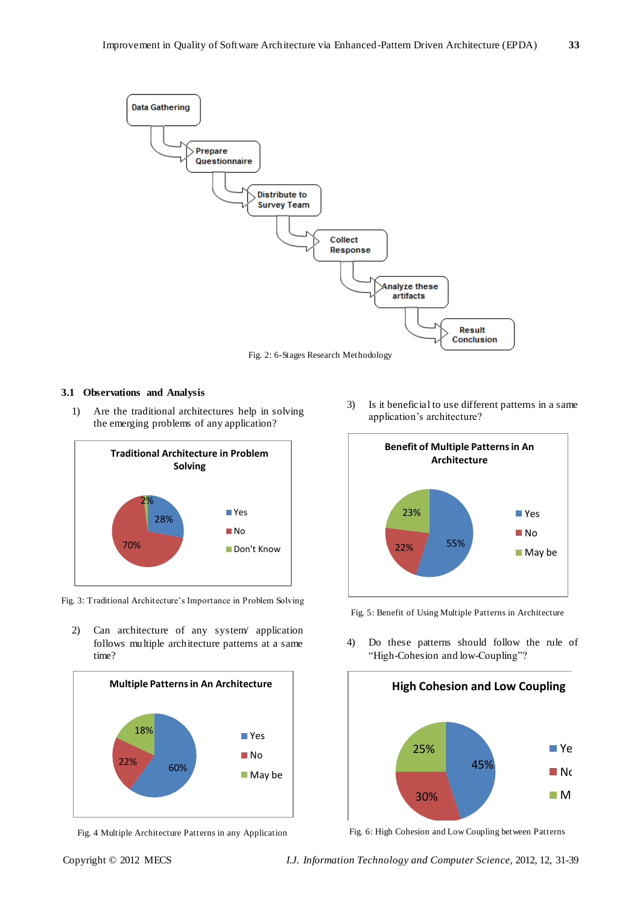

Fig. 2: 6-Stages Research Methodology

## **3.1 Observations and Analysis**

1) Are the traditional architectures help in solving the emerging problems of any application?



Fig. 3: Traditional Architecture's Importance in Problem Solving

2) Can architecture of any system/ application follows multiple architecture patterns at a same time?



Fig. 4 Multiple Architecture Patterns in any Application

3) Is it beneficial to use different patterns in a same application's architecture?



Fig. 5: Benefit of Using Multiple Patterns in Architecture

4) Do these patterns should follow the rule of "High-Cohesion and low-Coupling"?



Fig. 6: High Cohesion and Low Coupling between Patterns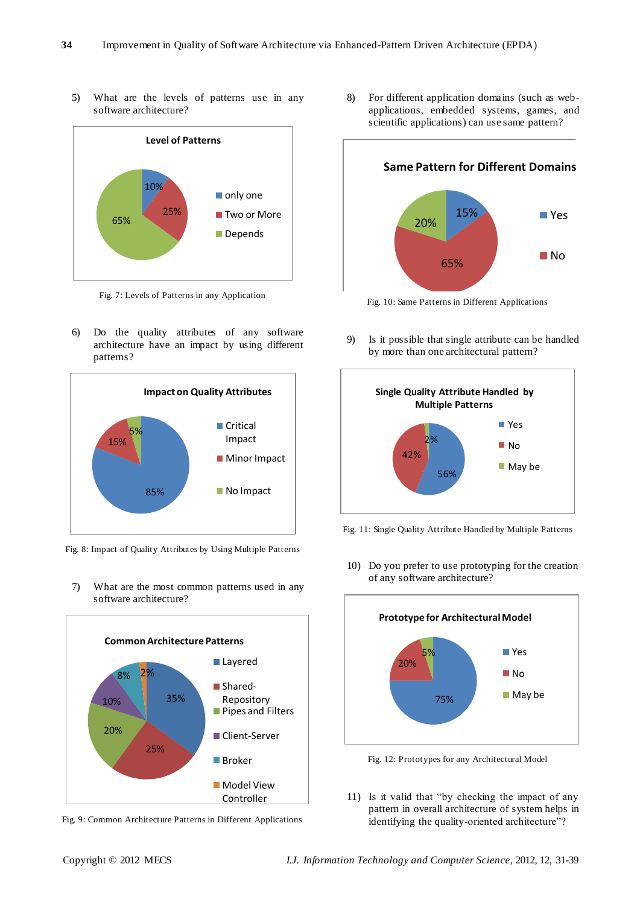5) What are the levels of patterns use in any software architecture?



Fig. 7: Levels of Patterns in any Application

6) Do the quality attributes of any software architecture have an impact by using different patterns?



Fig. 8: Impact of Quality Attributes by Using Multiple Patterns

7) What are the most common patterns used in any software architecture?



Fig. 9: Common Architecture Patterns in Different Applications

8) For different application domains (such as webapplications, embedded systems, games, and scientific applications) can use same pattern?

**Same Pattern for Different Domains**

15% 65% 20% Yes **■** No

Fig. 10: Same Patterns in Different Applications

9) Is it possible that single attribute can be handled by more than one architectural pattern?



Fig. 11: Single Quality Attribute Handled by Multiple Patterns

10) Do you prefer to use prototyping for the creation of any software architecture?



Fig. 12: Prototypes for any Architectural Model

11) Is it valid that "by checking the impact of any pattern in overall architecture of system helps in identifying the quality-oriented architecture"?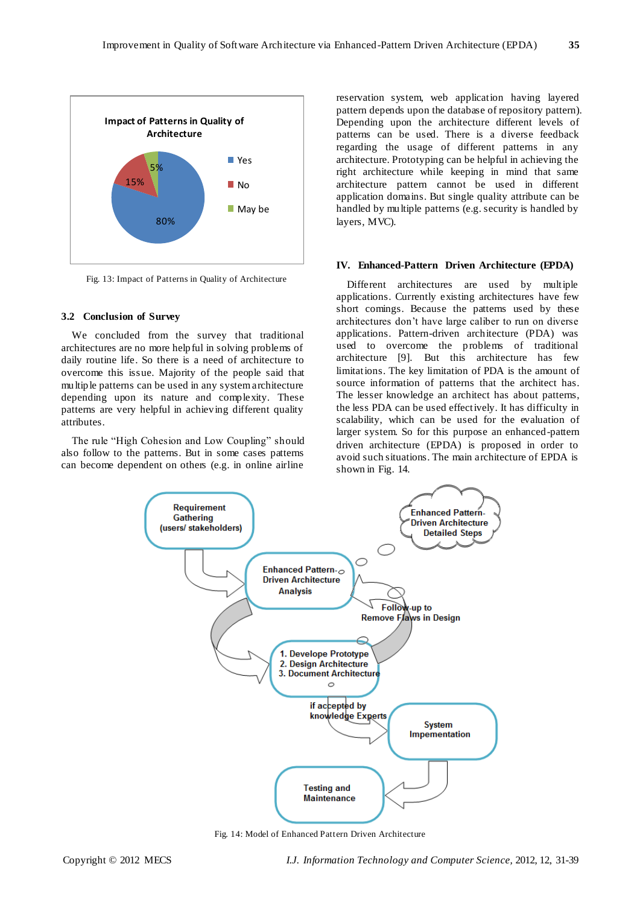

Fig. 13: Impact of Patterns in Quality of Architecture

#### **3.2 Conclusion of Survey**

We concluded from the survey that traditional architectures are no more helpful in solving problems of daily routine life. So there is a need of architecture to overcome this issue. Majority of the people said that multiple patterns can be used in any system architecture depending upon its nature and complexity. These patterns are very helpful in achieving different quality attributes.

The rule "High Cohesion and Low Coupling" should also follow to the patterns. But in some cases patterns can become dependent on others (e.g. in online airline

reservation system, web application having layered pattern depends upon the database of repository pattern). Depending upon the architecture different levels of patterns can be used. There is a diverse feedback regarding the usage of different patterns in any architecture. Prototyping can be helpful in achieving the right architecture while keeping in mind that same architecture pattern cannot be used in different application domains. But single quality attribute can be handled by multiple patterns (e.g. security is handled by layers, MVC).

#### **IV. Enhanced-Pattern Driven Architecture (EPDA)**

Different architectures are used by multiple applications. Currently existing architectures have few short comings. Because the patterns used by these architectures don't have large caliber to run on diverse applications. Pattern-driven architecture (PDA) was used to overcome the problems of traditional architecture [9]. But this architecture has few limitations. The key limitation of PDA is the amount of source information of patterns that the architect has. The lesser knowledge an architect has about patterns, the less PDA can be used effectively. It has difficulty in scalability, which can be used for the evaluation of larger system. So for this purpose an enhanced-pattern driven architecture (EPDA) is proposed in order to avoid such situations. The main architecture of EPDA is shown in Fig. 14.



Fig. 14: Model of Enhanced Pattern Driven Architecture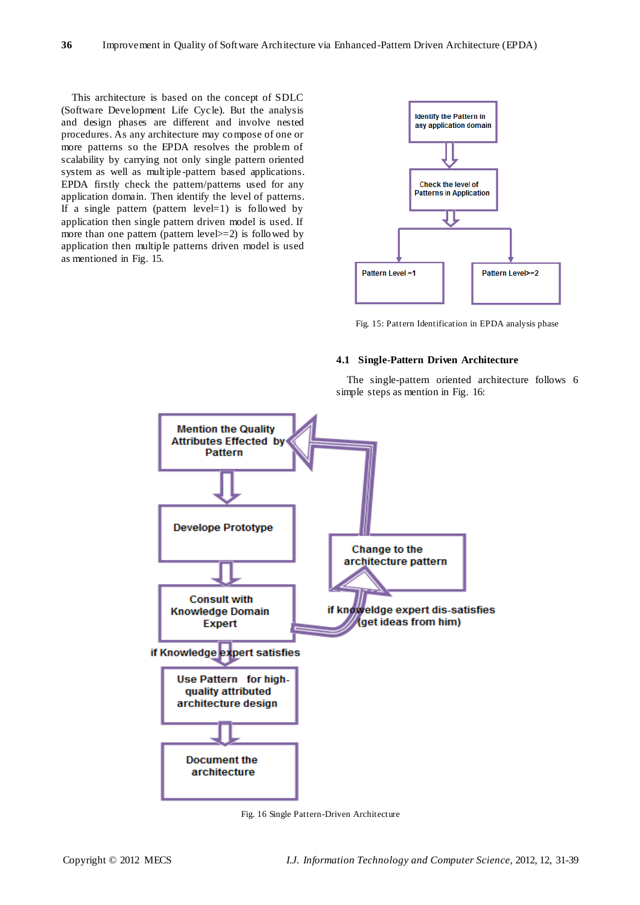This architecture is based on the concept of SDLC (Software Development Life Cycle). But the analysis and design phases are different and involve nested procedures. As any architecture may compose of one or more patterns so the EPDA resolves the problem of scalability by carrying not only single pattern oriented system as well as multiple -pattern based applications. EPDA firstly check the pattern/patterns used for any application domain. Then identify the level of patterns. If a single pattern (pattern level=1) is followed by application then single pattern driven model is used. If more than one pattern (pattern level  $>=$  2) is followed by application then multiple patterns driven model is used as mentioned in Fig. 15.



Fig. 15: Pattern Identification in EPDA analysis phase

## **4.1 Single-Pattern Driven Architecture**

The single-pattern oriented architecture follows 6 simple steps as mention in Fig. 16:



Fig. 16 Single Pattern-Driven Architecture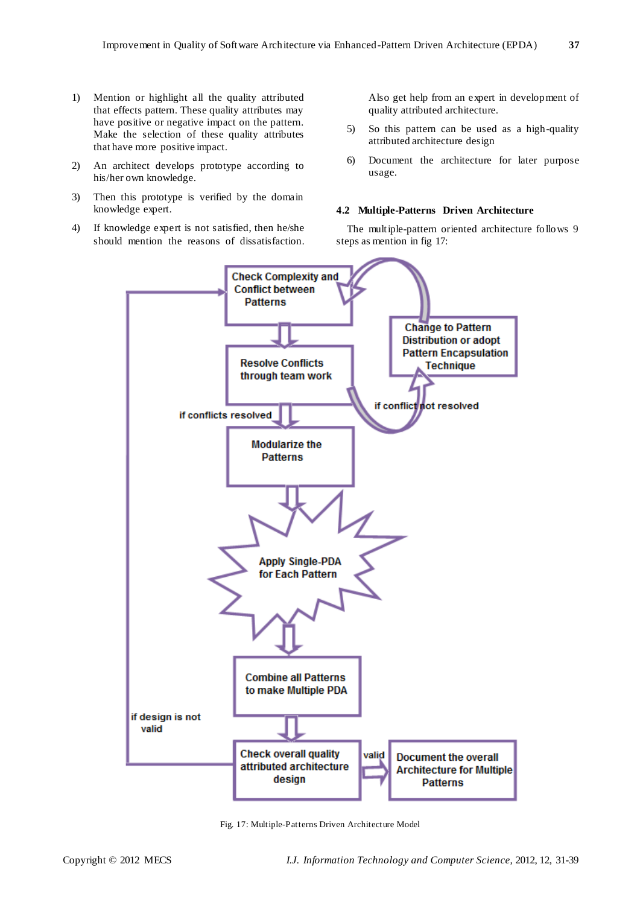- 1) Mention or highlight all the quality attributed that effects pattern. These quality attributes may have positive or negative impact on the pattern. Make the selection of these quality attributes that have more positive impact.
- 2) An architect develops prototype according to his/her own knowledge.
- 3) Then this prototype is verified by the domain knowledge expert.
- 4) If knowledge expert is not satisfied, then he/she should mention the reasons of dissatisfaction.

Also get help from an expert in development of quality attributed architecture.

- 5) So this pattern can be used as a high-quality attributed architecture design
- 6) Document the architecture for later purpose usage.

### **4.2 Multiple-Patterns Driven Architecture**

The multiple-pattern oriented architecture follows 9 steps as mention in fig 17:



Fig. 17: Multiple-Patterns Driven Architecture Model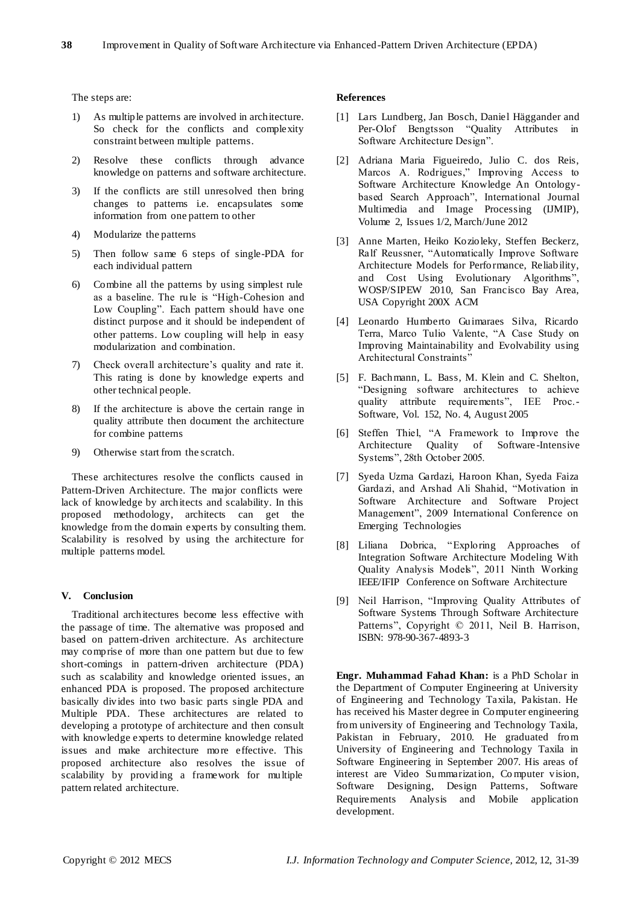The steps are:

- 1) As multiple patterns are involved in architecture. So check for the conflicts and complexity constraint between multiple patterns.
- 2) Resolve these conflicts through advance knowledge on patterns and software architecture.
- 3) If the conflicts are still unresolved then bring changes to patterns i.e. encapsulates some information from one pattern to other
- 4) Modularize the patterns
- 5) Then follow same 6 steps of single-PDA for each individual pattern
- 6) Combine all the patterns by using simplest rule as a baseline. The rule is "High-Cohesion and Low Coupling". Each pattern should have one distinct purpose and it should be independent of other patterns. Low coupling will help in easy modularization and combination.
- 7) Check overall architecture's quality and rate it. This rating is done by knowledge experts and other technical people.
- 8) If the architecture is above the certain range in quality attribute then document the architecture for combine patterns
- 9) Otherwise start from the scratch.

These architectures resolve the conflicts caused in Pattern-Driven Architecture. The major conflicts were lack of knowledge by architects and scalability. In this proposed methodology, architects can get the knowledge from the domain experts by consulting them. Scalability is resolved by using the architecture for multiple patterns model.

## **V. Conclusion**

Traditional architectures become less effective with the passage of time. The alternative was proposed and based on pattern-driven architecture. As architecture may comprise of more than one pattern but due to few short-comings in pattern-driven architecture (PDA) such as scalability and knowledge oriented issues, an enhanced PDA is proposed. The proposed architecture basically divides into two basic parts single PDA and Multiple PDA. These architectures are related to developing a prototype of architecture and then consult with knowledge experts to determine knowledge related issues and make architecture more effective. This proposed architecture also resolves the issue of scalability by providing a framework for multiple pattern related architecture.

## **References**

- [1] Lars Lundberg, Jan Bosch, Daniel Häggander and Per-Olof Bengtsson "Quality Attributes in Software Architecture Design".
- [2] Adriana Maria Figueiredo, Julio C. dos Reis, Marcos A. Rodrigues," Improving Access to Software Architecture Knowledge An Ontologybased Search Approach", International Journal Multimedia and Image Processing (IJMIP), Volume 2, Issues 1/2, March/June 2012
- [3] Anne Marten, Heiko Kozioleky, Steffen Beckerz, Ralf Reussner, "Automatically Improve Software Architecture Models for Performance, Reliability, and Cost Using Evolutionary Algorithms", WOSP/SIPEW 2010, San Francisco Bay Area, USA Copyright 200X ACM
- [4] Leonardo Humberto Guimaraes Silva, Ricardo Terra, Marco Tulio Valente, "A Case Study on Improving Maintainability and Evolvability using Architectural Constraints"
- [5] F. Bachmann, L. Bass, M. Klein and C. Shelton, "Designing software architectures to achieve quality attribute requirements", IEE Proc.- Software, Vol. 152, No. 4, August 2005
- [6] Steffen Thiel, "A Framework to Improve the Architecture Quality of Software -Intensive Systems", 28th October 2005.
- [7] Syeda Uzma Gardazi, Haroon Khan, Syeda Faiza Gardazi, and Arshad Ali Shahid, "Motivation in Software Architecture and Software Project Management", 2009 International Conference on Emerging Technologies
- [8] Liliana Dobrica, "Exploring Approaches of Integration Software Architecture Modeling With Quality Analysis Models", 2011 Ninth Working IEEE/IFIP Conference on Software Architecture
- [9] Neil Harrison, "Improving Quality Attributes of Software Systems Through Software Architecture Patterns", Copyright © 2011, Neil B. Harrison, ISBN: 978-90-367-4893-3

**Engr. Muhammad Fahad Khan:** is a PhD Scholar in the Department of Computer Engineering at University of Engineering and Technology Taxila, Pakistan. He has received his Master degree in Computer engineering from university of Engineering and Technology Taxila, Pakistan in February, 2010. He graduated from University of Engineering and Technology Taxila in Software Engineering in September 2007. His areas of interest are Video Summarization, Co mputer vision, Software Designing, Design Patterns, Software Requirements Analysis and Mobile application development.